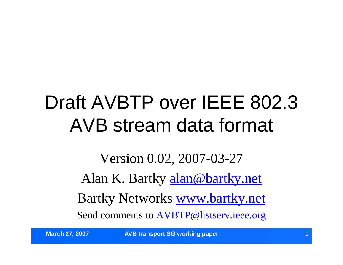#### Draft AVBTP over IEEE 802.3 AVB stream data format

Version 0.02, 2007-03-27 Alan K. Bartky alan@bartky.net Bartky Networks www.bartky.net Send comments to AVBTP@listserv.ieee.org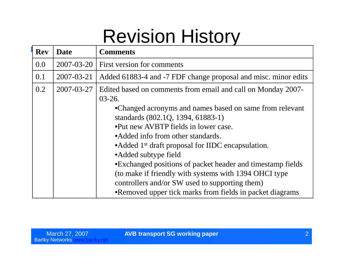#### Revision History

| <b>Rev</b> | <b>Date</b> | <b>Comments</b>                                                                                                                                                                                                                                                                                                                                                                                                                                                                                                               |
|------------|-------------|-------------------------------------------------------------------------------------------------------------------------------------------------------------------------------------------------------------------------------------------------------------------------------------------------------------------------------------------------------------------------------------------------------------------------------------------------------------------------------------------------------------------------------|
| 0.0        | 2007-03-20  | First version for comments                                                                                                                                                                                                                                                                                                                                                                                                                                                                                                    |
| 0.1        | 2007-03-21  | Added 61883-4 and -7 FDF change proposal and misc. minor edits                                                                                                                                                                                                                                                                                                                                                                                                                                                                |
| 0.2        | 2007-03-27  | Edited based on comments from email and call on Monday 2007-<br>$03 - 26.$<br>•Changed acronyms and names based on same from relevant<br>standards (802.1Q, 1394, 61883-1)<br>•Put new AVBTP fields in lower case.<br>• Added info from other standards.<br>• Added 1 <sup>st</sup> draft proposal for IIDC encapsulation.<br>• Added subtype field<br>•Exchanged positions of packet header and timestamp fields<br>(to make if friendly with systems with 1394 OHCI type)<br>controllers and/or SW used to supporting them) |
|            |             | •Removed upper tick marks from fields in packet diagrams                                                                                                                                                                                                                                                                                                                                                                                                                                                                      |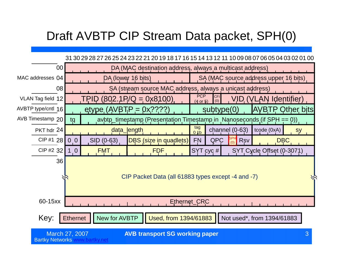#### Draft AVBTP CIP Stream Data packet, SPH(0)



March 27, 2007 **AVB transport SG working paper Contract 10 AVB transport SG working paper** 

Bartky Networks www.bartky.net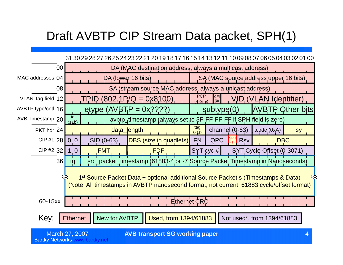#### Draft AVBTP CIP Stream Data packet, SPH(1)

#### 31 30 29 28 27 26 25 24 23 22 21 20 19 18 17 16 15 14 13 12 11 10 09 08 07 06 05 04 03 02 01 00

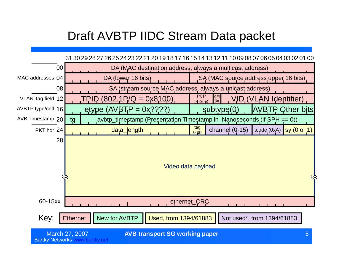#### Draft AVBTP IIDC Stream Data packet

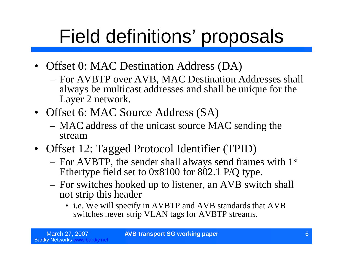- Offset 0: MAC Destination Address (DA)
	- For AVBTP over AVB, MAC Destination Addresses shall always be multicast addresses and shall be unique for the Layer 2 network.
- Offset 6: MAC Source Address (SA)
	- MAC address of the unicast source MAC sending the stream
- Offset 12: Tagged Protocol Identifier (TPID)
	- For AVBTP, the sender shall always send frames with 1st Ethertype field set to 0x8100 for 802.1 P/Q type.
	- For switches hooked up to listener, an AVB switch shall not strip this header
		- •i.e. We will specify in AVBTP and AVB standards that AVB switches never strip VLAN tags for AVBTP streams.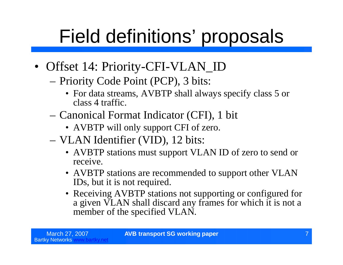- Offset 14: Priority-CFI-VLAN\_ID
	- –Priority Code Point (PCP), 3 bits:
		- For data streams, AVBTP shall always specify class 5 or class 4 traffic.
	- –Canonical Format Indicator (CFI), 1 bit
		- AVBTP will only support CFI of zero.
	- –VLAN Identifier (VID), 12 bits:
		- •AVBTP stations must support VLAN ID of zero to send or receive.
		- AVBTP stations are recommended to support other VLAN IDs, but it is not required.
		- Receiving AVBTP stations not supporting or configured for a given VLAN shall discard any frames for which it is not a member of the specified VLAN.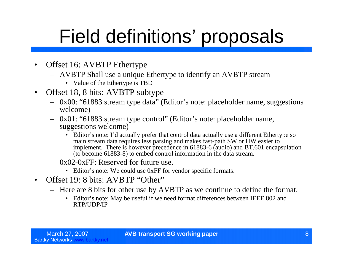- Offset 16: AVBTP Ethertype
	- AVBTP Shall use a unique Ethertype to identify an AVBTP stream
		- Value of the Ethertype is TBD
- Offset 18, 8 bits: AVBTP subtype
	- 0x00: "61883 stream type data"(Editor's note: placeholder name, suggestions welcome)
	- 0x01: "61883 stream type control"(Editor's note: placeholder name, suggestions welcome)
		- Editor's note: I'd actually prefer that control data actually use a different Ethertype so main stream data requires less parsing and makes fast-path SW or HW easier to implement. There is however precedence in 61883-6 (audio) and BT.601 encapsulation (to become 61883-8) to embed control information in the data stream.
	- 0x02-0xFF: Reserved for future use.
		- Editor's note: We could use 0xFF for vendor specific formats.
- Offset 19: 8 bits: AVBTP "Other"
	- Here are 8 bits for other use by AVBTP as we continue to define the format.
		- Editor's note: May be useful if we need format differences between IEEE 802 and RTP/UDP/IP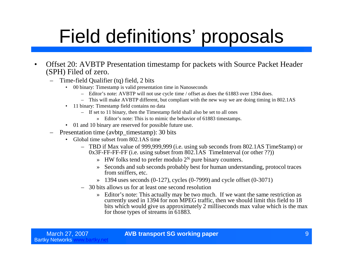- Offset 20: AVBTP Presentation timestamp for packets with Source Packet Header (SPH) Filed of zero.
	- Time-field Qualifier (tq) field, 2 bits
		- 00 binary: Timestamp is valid presentation time in Nanoseconds
			- Editor's note: AVBTP will not use cycle time / offset as does the 61883 over 1394 does.
			- This will make AVBTP different, but compliant with the new way we are doing timing in 802.1AS
		- 11 binary: Timestamp field contains no data
			- If set to 11 binary, then the Timestamp field shall also be set to all ones
				- » Editor's note: This is to mimic the behavior of 61883 timestamps.
		- 01 and 10 binary are reserved for possible future use.
	- Presentation time (avbtp\_timestamp): 30 bits
		- Global time subset from 802.1AS time
			- TBD if Max value of 999,999,999 (i.e. using sub seconds from 802.1AS TimeStamp) or 0x3F-FF-FF-FF (i.e. using subset from 802.1AS TimeInterval (or other ??))
				- $\gg$  HW folks tend to prefer modulo 2<sup>N</sup> pure binary counters.
				- » Seconds and sub seconds probably best for human understanding, protocol traces from sniffers, etc.
				- $\rightarrow$  1394 uses seconds (0-127), cycles (0-7999) and cycle offset (0-3071)
			- 30 bits allows us for at least one second resolution
				- » Editor's note: This actually may be two much. If we want the same restriction as currently used in 1394 for non MPEG traffic, then we should limit this field to 18 bits which would give us approximately 2 milliseconds max value which is the max for those types of streams in 61883.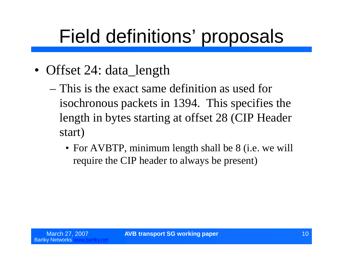- Offset 24: data\_length
	- –This is the exact same definition as used for isochronous packets in 1394. This specifies the length in bytes starting at offset 28 (CIP Header start)
		- For AVBTP, minimum length shall be 8 (i.e. we will require the CIP header to always be present)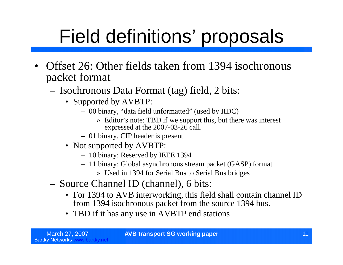- Offset 26: Other fields taken from 1394 isochronous packet format
	- Isochronous Data Format (tag) field, 2 bits:
		- Supported by AVBTP:
			- 00 binary, "data field unformatted"(used by IIDC)
				- » Editor's note: TBD if we support this, but there was interest expressed at the 2007-03-26 call.
			- 01 binary, CIP header is present
		- Not supported by AVBTP:
			- 10 binary: Reserved by IEEE 1394
			- 11 binary: Global asynchronous stream packet (GASP) format
				- » Used in 1394 for Serial Bus to Serial Bus bridges
	- Source Channel ID (channel), 6 bits:
		- For 1394 to AVB interworking, this field shall contain channel ID from 1394 isochronous packet from the source 1394 bus.
		- TBD if it has any use in AVBTP end stations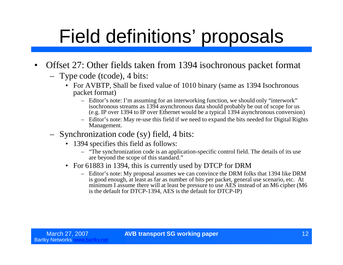- Offset 27: Other fields taken from 1394 isochronous packet format
	- Type code (tcode), 4 bits:
		- For AVBTP, Shall be fixed value of 1010 binary (same as 1394 Isochronous packet format)
			- Editor's note: I'm assuming for an interworking function, we should only "interwork" isochronous streams as 1394 asynchronous data should probably be out of scope for us (e.g. IP over 1394 to IP over Ethernet would be a typical 1394 asynchronous conversion)
			- Editor's note: May re-use this field if we need to expand the bits needed for Digital Rights Management.
	- Synchronization code (sy) field, 4 bits:
		- 1394 specifies this field as follows:
			- "The synchronization code is an application-specific control field. The details of its use are beyond the scope of this standard."
		- For 61883 in 1394, this is currently used by DTCP for DRM
			- Editor's note: My proposal assumes we can convince the DRM folks that 1394 like DRM is good enough, at least as far as number of bits per packet, general use scenario, etc. At minimum I assume there will at least be pressure to use AES instead of an M6 cipher (M6 is the default for DTCP-1394, AES is the default for DTCP-IP)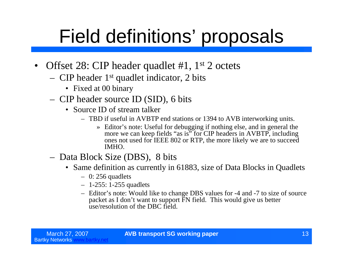- Offset 28: CIP header quadlet #1, 1<sup>st</sup> 2 octets
	- CIP header 1st quadlet indicator, 2 bits
		- Fixed at 00 binary
	- CIP header source ID (SID), 6 bits
		- Source ID of stream talker
			- TBD if useful in AVBTP end stations or 1394 to AVB interworking units.
				- » Editor's note: Useful for debugging if nothing else, and in general the more we can keep fields "as is" for CIP headers in AVBTP, including ones not used for IEEE 802 or RTP, the more likely we are to succeed IMHO.
	- Data Block Size (DBS), 8 bits
		- Same definition as currently in 61883, size of Data Blocks in Quadlets
			- $-$  0: 256 quadlets
			- 1-255: 1-255 quadlets
			- Editor's note: Would like to change DBS values for -4 and -7 to size of source packet as I don't want to support FN field. This would give us better use/resolution of the DBC field.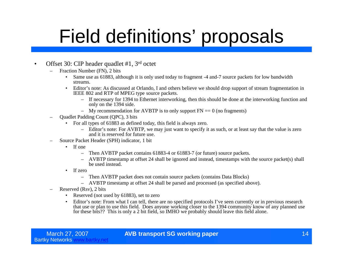#### • Offset 30: CIP header quadlet #1, 3<sup>rd</sup> octet

- Fraction Number (FN), 2 bits
	- Same use as 61883, although it is only used today to fragment -4 and-7 source packets for low bandwidth streams.
	- Editor's note: As discussed at Orlando, I and others believe we should drop support of stream fragmentation in IEEE 802 and RTP of MPEG type source packets.
		- If necessary for 1394 to Ethernet interworking, then this should be done at the interworking function and only on the 1394 side.
		- My recommendation for AVBTP is to only support  $FN = 0$  (no fragments)
- Quadlet Padding Count (QPC), 3 bits
	- For all types of 61883 as defined today, this field is always zero.
		- Editor's note: For AVBTP, we may just want to specify it as such, or at least say that the value is zero and it is reserved for future use.
- Source Packet Header (SPH) indicator, 1 bit
	- If one
		- Then AVBTP packet contains 61883-4 or 61883-7 (or future) source packets.
		- AVBTP timestamp at offset 24 shall be ignored and instead, timestamps with the source packet(s) shall be used instead.
	- If zero
		- Then AVBTP packet does not contain source packets (contains Data Blocks)
		- AVBTP timestamp at offset 24 shall be parsed and processed (as specified above).
- Reserved (Rsv), 2 bits
	- Reserved (not used by 61883), set to zero
	- Editor's note: From what I can tell, there are no specified protocols I've seen currently or in previous research that use or plan to use this field. Does anyone working closer to the 1394 community know of any planned use for these bits?? This is only a 2 bit field, so IMHO we probably should leave this field alone.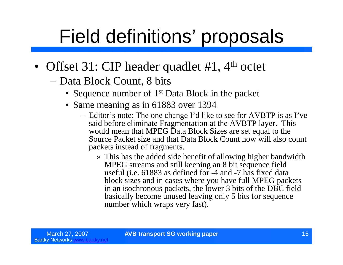- Offset 31: CIP header quadlet #1, 4<sup>th</sup> octet
	- –Data Block Count, 8 bits
		- Sequence number of 1<sup>st</sup> Data Block in the packet
		- Same meaning as in 61883 over 1394
			- Editor's note: The one change I'd like to see for AVBTP is as I've said before eliminate Fragmentation at the AVBTP layer. This would mean that MPEG Data Block Sizes are set equal to the Source Packet size and that Data Block Count now will also count packets instead of fragments.
				- » This has the added side benefit of allowing higher bandwidth MPEG streams and still keeping an 8 bit sequence field useful (i.e. 61883 as defined for -4 and -7 has fixed data block sizes and in cases where you have full MPEG packets in an isochronous packets, the lower 3 bits of the DBC field basically become unused leaving only 5 bits for sequence number which wraps very fast).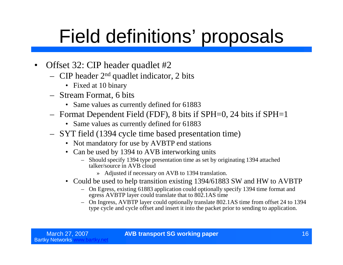- Offset 32: CIP header quadlet #2
	- CIP header  $2<sup>nd</sup>$  quadlet indicator, 2 bits
		- Fixed at 10 binary
	- Stream Format, 6 bits
		- Same values as currently defined for 61883
	- Format Dependent Field (FDF), 8 bits if SPH=0, 24 bits if SPH=1
		- Same values as currently defined for 61883
	- SYT field (1394 cycle time based presentation time)
		- Not mandatory for use by AVBTP end stations
		- Can be used by 1394 to AVB interworking units
			- Should specify 1394 type presentation time as set by originating 1394 attached talker/source in AVB cloud
				- » Adjusted if necessary on AVB to 1394 translation.
		- Could be used to help transition existing 1394/61883 SW and HW to AVBTP
			- On Egress, existing 61883 application could optionally specify 1394 time format and egress AVBTP layer could translate that to 802.1AS time
			- On Ingress, AVBTP layer could optionally translate 802.1AS time from offset 24 to 1394 type cycle and cycle offset and insert it into the packet prior to sending to application.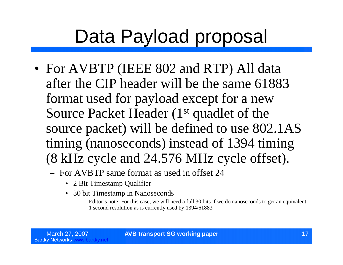#### Data Payload proposal

- For AVBTP (IEEE 802 and RTP) All data after the CIP header will be the same 61883 format used for payload except for a new Source Packet Header (1<sup>st</sup> quadlet of the source packet) will be defined to use 802.1AS timing (nanoseconds) instead of 1394 timing (8 kHz cycle and 24.576 MHz cycle offset).
	- For AVBTP same format as used in offset 24
		- 2 Bit Timestamp Qualifier
		- 30 bit Timestamp in Nanoseconds
			- Editor's note: For this case, we will need a full 30 bits if we do nanoseconds to get an equivalent 1 second resolution as is currently used by 1394/61883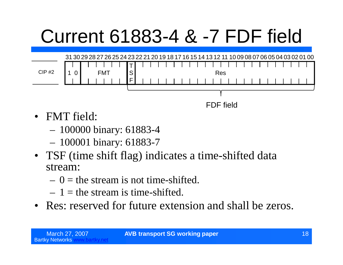## Current 61883-4 & -7 FDF field



FDF field

- FMT field:
	- 100000 binary: 61883-4
	- 100001 binary: 61883-7
- TSF (time shift flag) indicates a time-shifted data stream:
	- $-0$  = the stream is not time-shifted.
	- $-1$  = the stream is time-shifted.
- Res: reserved for future extension and shall be zeros.